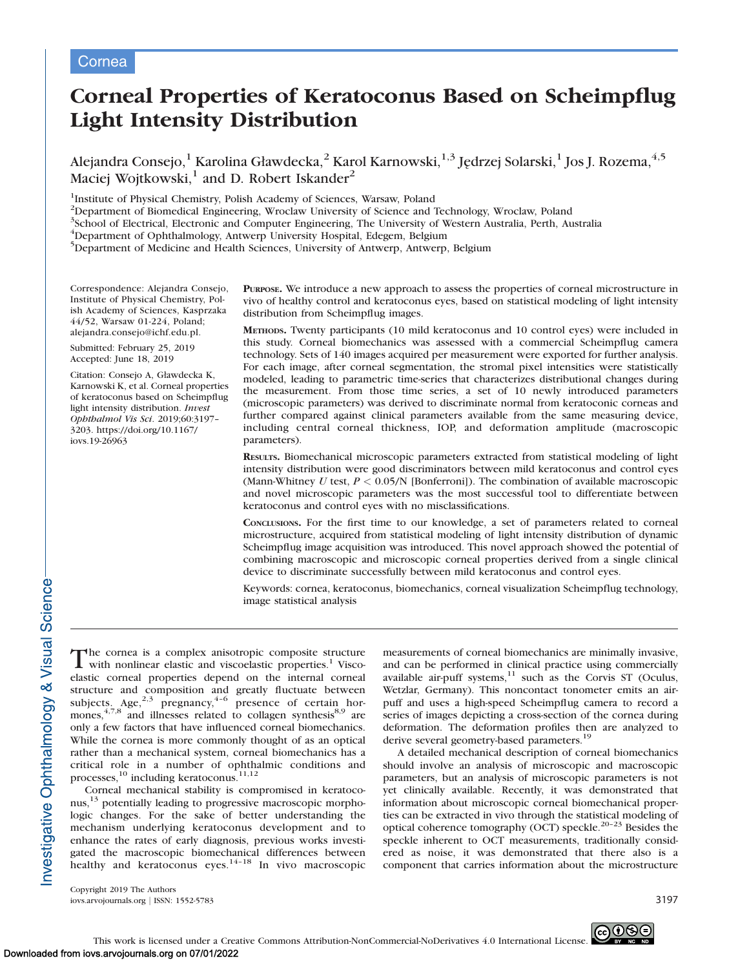# Corneal Properties of Keratoconus Based on Scheimpflug Light Intensity Distribution

Alejandra Consejo,<sup>1</sup> Karolina Gławdecka,<sup>2</sup> Karol Karnowski,<sup>1,3</sup> Jędrzej Solarski,<sup>1</sup> Jos J. Rozema,<sup>4,5</sup> Maciej Wojtkowski, $<sup>1</sup>$  and D. Robert Iskander<sup>2</sup></sup>

<sup>1</sup>Institute of Physical Chemistry, Polish Academy of Sciences, Warsaw, Poland

<sup>2</sup>Department of Biomedical Engineering, Wroclaw University of Science and Technology, Wroclaw, Poland

<sup>3</sup>School of Electrical, Electronic and Computer Engineering, The University of Western Australia, Perth, Australia

4 Department of Ophthalmology, Antwerp University Hospital, Edegem, Belgium

<sup>5</sup>Department of Medicine and Health Sciences, University of Antwerp, Antwerp, Belgium

Correspondence: Alejandra Consejo, Institute of Physical Chemistry, Polish Academy of Sciences, Kasprzaka 44/52, Warsaw 01-224, Poland; alejandra.consejo@ichf.edu.pl.

Submitted: February 25, 2019 Accepted: June 18, 2019

Citation: Consejo A, Gławdecka K, Karnowski K, et al. Corneal properties of keratoconus based on Scheimpflug light intensity distribution. Invest Ophthalmol Vis Sci. 2019;60:3197– 3203. https://doi.org/10.1167/ iovs.19-26963

PURPOSE. We introduce a new approach to assess the properties of corneal microstructure in vivo of healthy control and keratoconus eyes, based on statistical modeling of light intensity distribution from Scheimpflug images.

METHODS. Twenty participants (10 mild keratoconus and 10 control eyes) were included in this study. Corneal biomechanics was assessed with a commercial Scheimpflug camera technology. Sets of 140 images acquired per measurement were exported for further analysis. For each image, after corneal segmentation, the stromal pixel intensities were statistically modeled, leading to parametric time-series that characterizes distributional changes during the measurement. From those time series, a set of 10 newly introduced parameters (microscopic parameters) was derived to discriminate normal from keratoconic corneas and further compared against clinical parameters available from the same measuring device, including central corneal thickness, IOP, and deformation amplitude (macroscopic parameters).

RESULTS. Biomechanical microscopic parameters extracted from statistical modeling of light intensity distribution were good discriminators between mild keratoconus and control eyes (Mann-Whitney U test,  $P < 0.05/N$  [Bonferroni]). The combination of available macroscopic and novel microscopic parameters was the most successful tool to differentiate between keratoconus and control eyes with no misclassifications.

CONCLUSIONS. For the first time to our knowledge, a set of parameters related to corneal microstructure, acquired from statistical modeling of light intensity distribution of dynamic Scheimpflug image acquisition was introduced. This novel approach showed the potential of combining macroscopic and microscopic corneal properties derived from a single clinical device to discriminate successfully between mild keratoconus and control eyes.

Keywords: cornea, keratoconus, biomechanics, corneal visualization Scheimpflug technology, image statistical analysis

The cornea is a complex anisotropic composite structure<br>with nonlinear elastic and viscoelastic properties.<sup>1</sup> Viscoelastic corneal properties depend on the internal corneal structure and composition and greatly fluctuate between<br>subjects. Age,  $2.3$  pregnancy,  $4-6$  presence of certain hormones,  $4,7,8$  and illnesses related to collagen synthesis $8,9$  are only a few factors that have influenced corneal biomechanics. While the cornea is more commonly thought of as an optical rather than a mechanical system, corneal biomechanics has a critical role in a number of ophthalmic conditions and processes,<sup>10</sup> including keratoconus.<sup>11,12</sup>

Corneal mechanical stability is compromised in keratoconus,<sup>13</sup> potentially leading to progressive macroscopic morphologic changes. For the sake of better understanding the mechanism underlying keratoconus development and to enhance the rates of early diagnosis, previous works investigated the macroscopic biomechanical differences between healthy and keratoconus eyes. $14-18$  In vivo macroscopic measurements of corneal biomechanics are minimally invasive, and can be performed in clinical practice using commercially available air-puff systems, $11$  such as the Corvis ST (Oculus, Wetzlar, Germany). This noncontact tonometer emits an airpuff and uses a high-speed Scheimpflug camera to record a series of images depicting a cross-section of the cornea during deformation. The deformation profiles then are analyzed to derive several geometry-based parameters.<sup>19</sup>

A detailed mechanical description of corneal biomechanics should involve an analysis of microscopic and macroscopic parameters, but an analysis of microscopic parameters is not yet clinically available. Recently, it was demonstrated that information about microscopic corneal biomechanical properties can be extracted in vivo through the statistical modeling of optical coherence tomography (OCT) speckle.<sup>20-23</sup> Besides the speckle inherent to OCT measurements, traditionally considered as noise, it was demonstrated that there also is a component that carries information about the microstructure

Copyright 2019 The Authors iovs.arvojournals.org j ISSN: 1552-5783 3197

nvestigative Ophthalmology & Visual Science-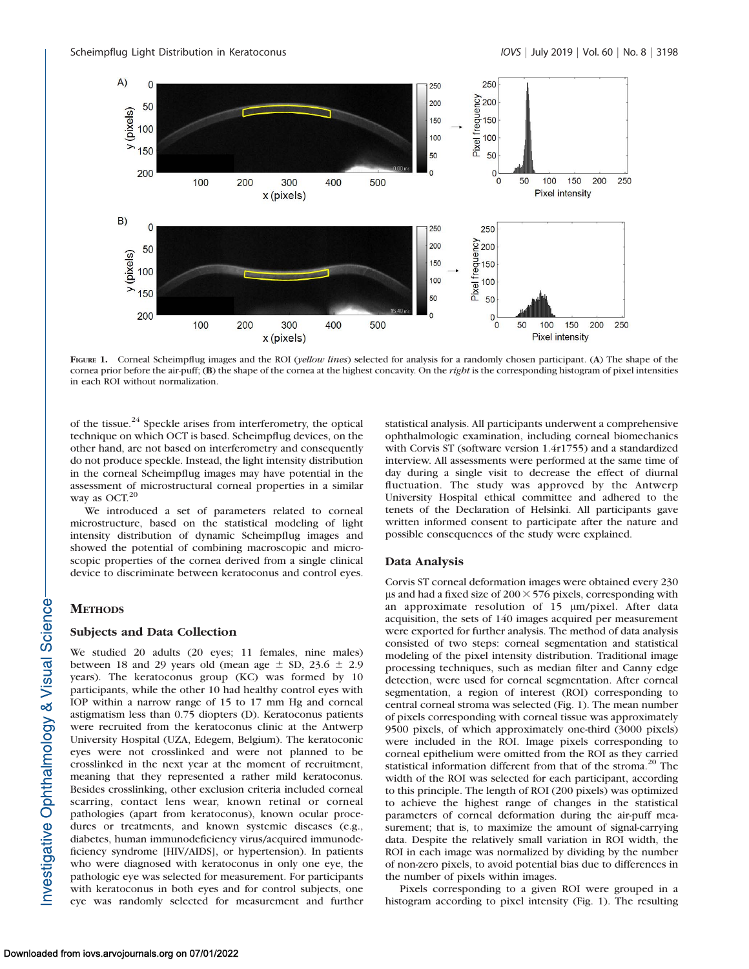

FIGURE 1. Corneal Scheimpflug images and the ROI (yellow lines) selected for analysis for a randomly chosen participant. (A) The shape of the cornea prior before the air-puff; (B) the shape of the cornea at the highest concavity. On the right is the corresponding histogram of pixel intensities in each ROI without normalization.

of the tissue.<sup>24</sup> Speckle arises from interferometry, the optical technique on which OCT is based. Scheimpflug devices, on the other hand, are not based on interferometry and consequently do not produce speckle. Instead, the light intensity distribution in the corneal Scheimpflug images may have potential in the assessment of microstructural corneal properties in a similar way as OCT.<sup>20</sup>

We introduced a set of parameters related to corneal microstructure, based on the statistical modeling of light intensity distribution of dynamic Scheimpflug images and showed the potential of combining macroscopic and microscopic properties of the cornea derived from a single clinical device to discriminate between keratoconus and control eyes.

# **METHODS**

#### Subjects and Data Collection

We studied 20 adults (20 eyes; 11 females, nine males) between 18 and 29 years old (mean age  $\pm$  SD, 23.6  $\pm$  2.9 years). The keratoconus group (KC) was formed by 10 participants, while the other 10 had healthy control eyes with IOP within a narrow range of 15 to 17 mm Hg and corneal astigmatism less than 0.75 diopters (D). Keratoconus patients were recruited from the keratoconus clinic at the Antwerp University Hospital (UZA, Edegem, Belgium). The keratoconic eyes were not crosslinked and were not planned to be crosslinked in the next year at the moment of recruitment, meaning that they represented a rather mild keratoconus. Besides crosslinking, other exclusion criteria included corneal scarring, contact lens wear, known retinal or corneal pathologies (apart from keratoconus), known ocular procedures or treatments, and known systemic diseases (e.g., diabetes, human immunodeficiency virus/acquired immunodeficiency syndrome [HIV/AIDS], or hypertension). In patients who were diagnosed with keratoconus in only one eye, the pathologic eye was selected for measurement. For participants with keratoconus in both eyes and for control subjects, one eye was randomly selected for measurement and further statistical analysis. All participants underwent a comprehensive ophthalmologic examination, including corneal biomechanics with Corvis ST (software version 1.4r1755) and a standardized interview. All assessments were performed at the same time of day during a single visit to decrease the effect of diurnal fluctuation. The study was approved by the Antwerp University Hospital ethical committee and adhered to the tenets of the Declaration of Helsinki. All participants gave written informed consent to participate after the nature and possible consequences of the study were explained.

# Data Analysis

Corvis ST corneal deformation images were obtained every 230 us and had a fixed size of  $200 \times 576$  pixels, corresponding with an approximate resolution of  $15 \mu m/pixel$ . After data acquisition, the sets of 140 images acquired per measurement were exported for further analysis. The method of data analysis consisted of two steps: corneal segmentation and statistical modeling of the pixel intensity distribution. Traditional image processing techniques, such as median filter and Canny edge detection, were used for corneal segmentation. After corneal segmentation, a region of interest (ROI) corresponding to central corneal stroma was selected (Fig. 1). The mean number of pixels corresponding with corneal tissue was approximately 9500 pixels, of which approximately one-third (3000 pixels) were included in the ROI. Image pixels corresponding to corneal epithelium were omitted from the ROI as they carried statistical information different from that of the stroma.<sup>20</sup> The width of the ROI was selected for each participant, according to this principle. The length of ROI (200 pixels) was optimized to achieve the highest range of changes in the statistical parameters of corneal deformation during the air-puff measurement; that is, to maximize the amount of signal-carrying data. Despite the relatively small variation in ROI width, the ROI in each image was normalized by dividing by the number of non-zero pixels, to avoid potential bias due to differences in the number of pixels within images.

Pixels corresponding to a given ROI were grouped in a histogram according to pixel intensity (Fig. 1). The resulting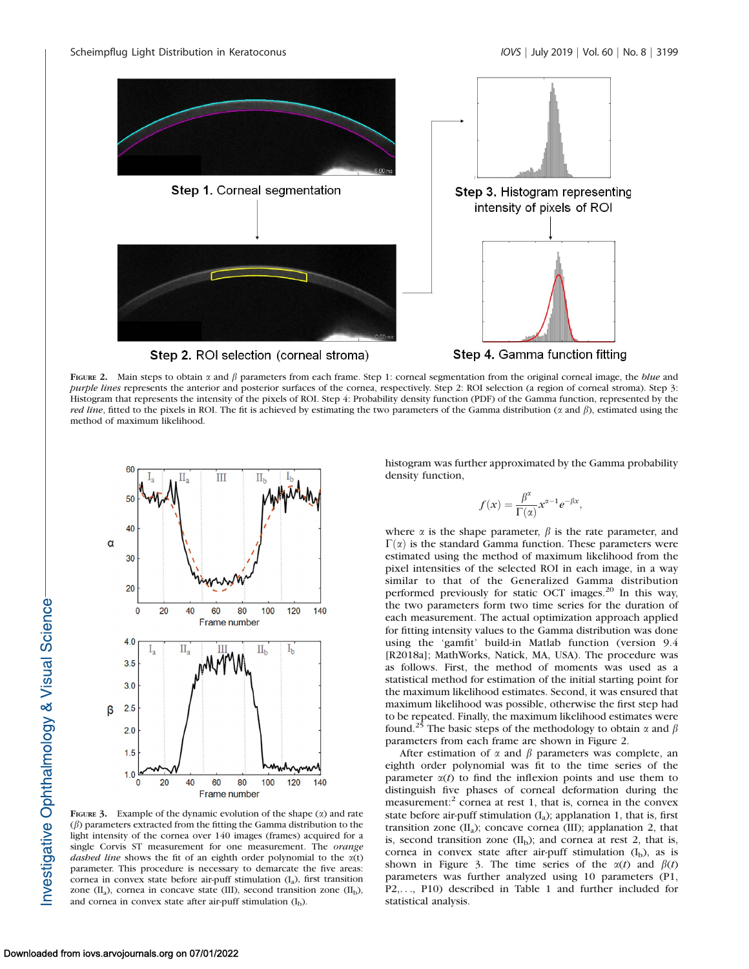

FIGURE 2. Main steps to obtain  $\alpha$  and  $\beta$  parameters from each frame. Step 1: corneal segmentation from the original corneal image, the *blue* and purple lines represents the anterior and posterior surfaces of the cornea, respectively. Step 2: ROI selection (a region of corneal stroma). Step 3: Histogram that represents the intensity of the pixels of ROI. Step 4: Probability density function (PDF) of the Gamma function, represented by the *red line*, fitted to the pixels in ROI. The fit is achieved by estimating the two parameters of the Gamma distribution ( $\alpha$  and  $\beta$ ), estimated using the method of maximum likelihood.



FIGURE 3. Example of the dynamic evolution of the shape  $(x)$  and rate  $(\beta)$  parameters extracted from the fitting the Gamma distribution to the light intensity of the cornea over 140 images (frames) acquired for a single Corvis ST measurement for one measurement. The orange dashed line shows the fit of an eighth order polynomial to the  $\alpha(t)$ parameter. This procedure is necessary to demarcate the five areas: cornea in convex state before air-puff stimulation  $(I_a)$ , first transition zone  $(II_a)$ , cornea in concave state (III), second transition zone  $(II_b)$ , and cornea in convex state after air-puff stimulation  $(I_b)$ .

histogram was further approximated by the Gamma probability density function,

$$
f(x) = \frac{\beta^{\alpha}}{\Gamma(\alpha)} x^{\alpha - 1} e^{-\beta x},
$$

where  $\alpha$  is the shape parameter,  $\beta$  is the rate parameter, and  $\Gamma(\alpha)$  is the standard Gamma function. These parameters were estimated using the method of maximum likelihood from the pixel intensities of the selected ROI in each image, in a way similar to that of the Generalized Gamma distribution performed previously for static OCT images.<sup>20</sup> In this way, the two parameters form two time series for the duration of each measurement. The actual optimization approach applied for fitting intensity values to the Gamma distribution was done using the 'gamfit' build-in Matlab function (version 9.4 [R2018a]; MathWorks, Natick, MA, USA). The procedure was as follows. First, the method of moments was used as a statistical method for estimation of the initial starting point for the maximum likelihood estimates. Second, it was ensured that maximum likelihood was possible, otherwise the first step had to be repeated. Finally, the maximum likelihood estimates were found.<sup>25</sup> The basic steps of the methodology to obtain  $\alpha$  and  $\beta$ parameters from each frame are shown in Figure 2.

After estimation of  $\alpha$  and  $\beta$  parameters was complete, an eighth order polynomial was fit to the time series of the parameter  $\alpha(t)$  to find the inflexion points and use them to distinguish five phases of corneal deformation during the measurement: $\epsilon$  cornea at rest 1, that is, cornea in the convex state before air-puff stimulation  $(I_a)$ ; applanation 1, that is, first transition zone  $(II_a)$ ; concave cornea  $(III)$ ; applanation 2, that is, second transition zone  $(II_b)$ ; and cornea at rest 2, that is, cornea in convex state after air-puff stimulation  $(I_b)$ , as is shown in Figure 3. The time series of the  $\alpha(t)$  and  $\beta(t)$ parameters was further analyzed using 10 parameters (P1, P2,..., P10) described in Table 1 and further included for statistical analysis.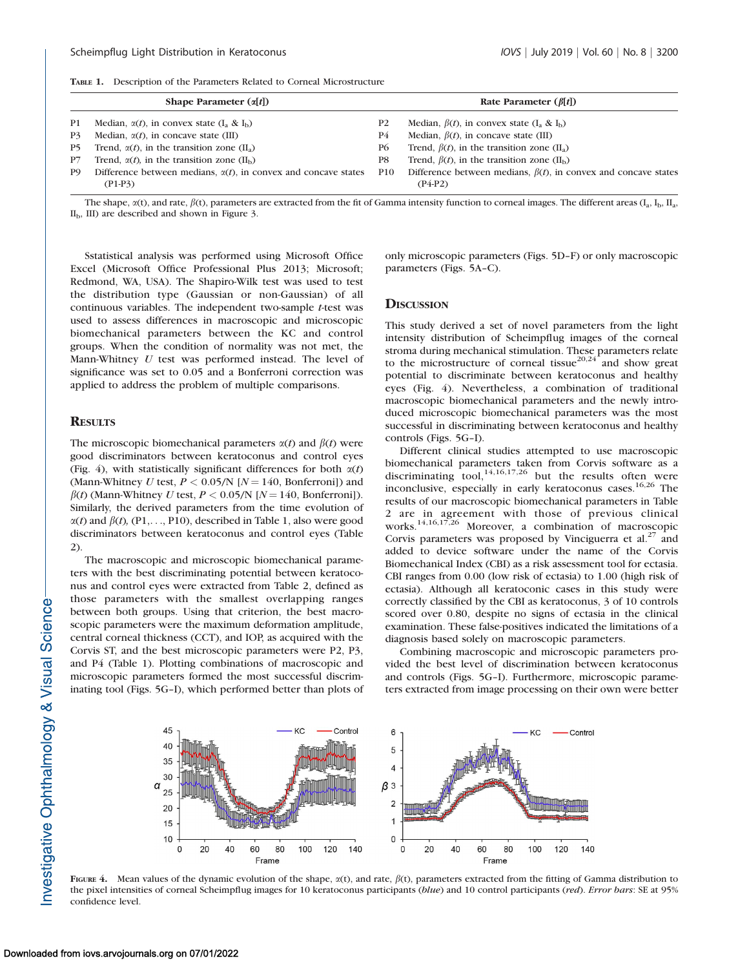| Shape Parameter $(\alpha[t])$ |                                                                        |                | Rate Parameter $(\beta[t])$                                           |  |  |
|-------------------------------|------------------------------------------------------------------------|----------------|-----------------------------------------------------------------------|--|--|
| P1                            | Median, $\alpha(t)$ , in convex state $(I_a \& I_b)$                   | P <sub>2</sub> | Median, $\beta(t)$ , in convex state $(I_a \& I_b)$                   |  |  |
| P3                            | Median, $\alpha(t)$ , in concave state (III)                           | P4             | Median, $\beta(t)$ , in concave state (III)                           |  |  |
| P5.                           | Trend, $\alpha(t)$ , in the transition zone (II <sub>a</sub> )         | P6             | Trend, $\beta(t)$ , in the transition zone (II <sub>a</sub> )         |  |  |
| P7                            | Trend, $\alpha(t)$ , in the transition zone (II <sub>b</sub> )         | P8             | Trend, $\beta(t)$ , in the transition zone (II <sub>b</sub> )         |  |  |
| P <sub>9</sub>                | Difference between medians, $\alpha(t)$ , in convex and concave states | P10            | Difference between medians, $\beta(t)$ , in convex and concave states |  |  |
|                               | $(P1-P3)$                                                              |                | $(P4-P2)$                                                             |  |  |
|                               |                                                                        |                |                                                                       |  |  |

The shape,  $\alpha(t)$ , and rate,  $\beta(t)$ , parameters are extracted from the fit of Gamma intensity function to corneal images. The different areas  $(I_a, I_b, II_a)$  $II<sub>b</sub>$ , III) are described and shown in Figure 3.

Sstatistical analysis was performed using Microsoft Office Excel (Microsoft Office Professional Plus 2013; Microsoft; Redmond, WA, USA). The Shapiro-Wilk test was used to test the distribution type (Gaussian or non-Gaussian) of all continuous variables. The independent two-sample t-test was used to assess differences in macroscopic and microscopic biomechanical parameters between the KC and control groups. When the condition of normality was not met, the Mann-Whitney U test was performed instead. The level of significance was set to 0.05 and a Bonferroni correction was applied to address the problem of multiple comparisons.

#### **RESULTS**

The microscopic biomechanical parameters  $\alpha(t)$  and  $\beta(t)$  were good discriminators between keratoconus and control eyes (Fig. 4), with statistically significant differences for both  $\alpha(t)$ (Mann-Whitney U test,  $P < 0.05/N$  [ $N = 140$ , Bonferroni]) and  $\beta(t)$  (Mann-Whitney U test,  $P < 0.05/N$  [N = 140, Bonferroni]). Similarly, the derived parameters from the time evolution of  $\alpha(t)$  and  $\beta(t)$ , (P1, ..., P10), described in Table 1, also were good discriminators between keratoconus and control eyes (Table 2).

The macroscopic and microscopic biomechanical parameters with the best discriminating potential between keratoconus and control eyes were extracted from Table 2, defined as those parameters with the smallest overlapping ranges between both groups. Using that criterion, the best macroscopic parameters were the maximum deformation amplitude, central corneal thickness (CCT), and IOP, as acquired with the Corvis ST, and the best microscopic parameters were P2, P3, and P4 (Table 1). Plotting combinations of macroscopic and microscopic parameters formed the most successful discriminating tool (Figs. 5G–I), which performed better than plots of only microscopic parameters (Figs. 5D–F) or only macroscopic parameters (Figs. 5A–C).

### **DISCUSSION**

This study derived a set of novel parameters from the light intensity distribution of Scheimpflug images of the corneal stroma during mechanical stimulation. These parameters relate to the microstructure of corneal tissue<sup>20,24</sup> and show great potential to discriminate between keratoconus and healthy eyes (Fig. 4). Nevertheless, a combination of traditional macroscopic biomechanical parameters and the newly introduced microscopic biomechanical parameters was the most successful in discriminating between keratoconus and healthy controls (Figs. 5G–I).

Different clinical studies attempted to use macroscopic biomechanical parameters taken from Corvis software as a discriminating tool,<sup>14,16,17,26</sup> but the results often were inconclusive, especially in early keratoconus cases.<sup>16,26</sup> The results of our macroscopic biomechanical parameters in Table 2 are in agreement with those of previous clinical works.<sup>14,16,17,26</sup> Moreover, a combination of macroscopic Corvis parameters was proposed by Vinciguerra et al. $^{27}$  and added to device software under the name of the Corvis Biomechanical Index (CBI) as a risk assessment tool for ectasia. CBI ranges from 0.00 (low risk of ectasia) to 1.00 (high risk of ectasia). Although all keratoconic cases in this study were correctly classified by the CBI as keratoconus, 3 of 10 controls scored over 0.80, despite no signs of ectasia in the clinical examination. These false-positives indicated the limitations of a diagnosis based solely on macroscopic parameters.

Combining macroscopic and microscopic parameters provided the best level of discrimination between keratoconus and controls (Figs. 5G–I). Furthermore, microscopic parameters extracted from image processing on their own were better



FIGURE 4. Mean values of the dynamic evolution of the shape,  $\alpha(t)$ , and rate,  $\beta(t)$ , parameters extracted from the fitting of Gamma distribution to the pixel intensities of corneal Scheimpflug images for 10 keratoconus participants (blue) and 10 control participants (red). Error bars: SE at 95% confidence level.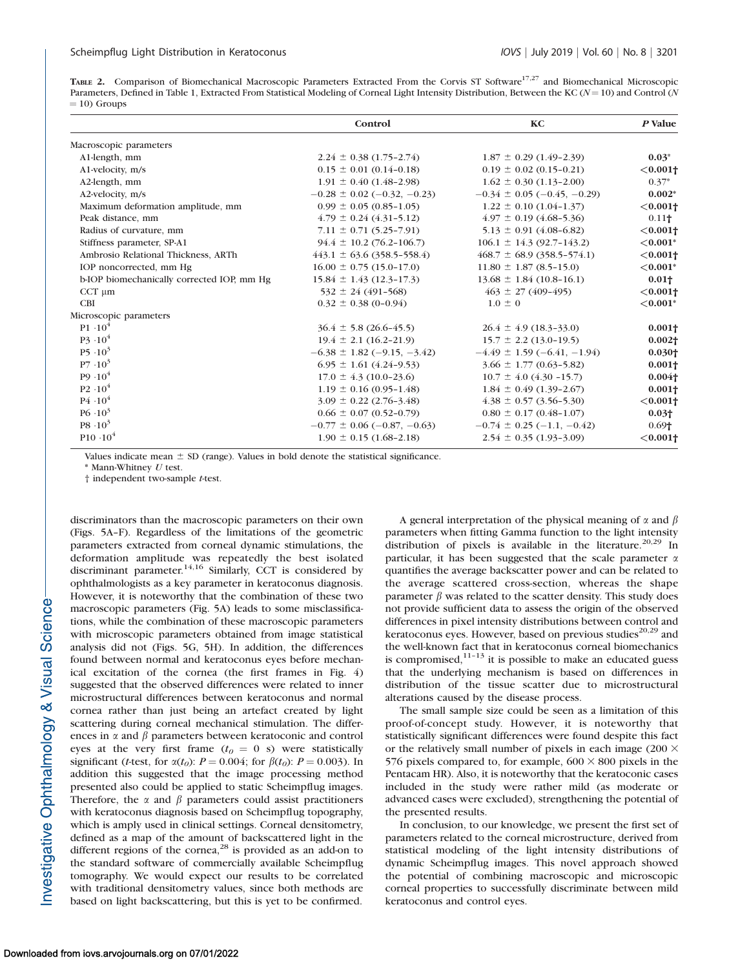TABLE 2. Comparison of Biomechanical Macroscopic Parameters Extracted From the Corvis ST Software<sup>17,27</sup> and Biomechanical Microscopic Parameters, Defined in Table 1, Extracted From Statistical Modeling of Corneal Light Intensity Distribution, Between the KC ( $N=10$ ) and Control (N  $=$  10) Groups

|                                            | Control                          | KC                                     | P Value                |
|--------------------------------------------|----------------------------------|----------------------------------------|------------------------|
| Macroscopic parameters                     |                                  |                                        |                        |
| A1-length, mm                              | $2.24 \pm 0.38$ (1.75-2.74)      | $1.87 \pm 0.29$ (1.49-2.39)            | $0.03*$                |
| A1-velocity, m/s                           | $0.15 \pm 0.01$ (0.14-0.18)      | $0.19 \pm 0.02$ (0.15-0.21)            | $< 0.001$ †            |
| A2-length, mm                              | $1.91 \pm 0.40$ (1.48-2.98)      | $1.62 \pm 0.30$ (1.13-2.00)            | $0.37*$                |
| A2-velocity, m/s                           | $-0.28 \pm 0.02$ (-0.32, -0.23)  | $-0.34 \pm 0.05$ ( $-0.45$ , $-0.29$ ) | $0.002*$               |
| Maximum deformation amplitude, mm          | $0.99 \pm 0.05$ (0.85-1.05)      | $1.22 \pm 0.10$ (1.04-1.37)            | $< 0.001$ †            |
| Peak distance, mm                          | $4.79 \pm 0.24$ (4.31-5.12)      | $4.97 \pm 0.19$ (4.68-5.36)            | 0.11 <sub>1</sub>      |
| Radius of curvature, mm                    | $7.11 \pm 0.71$ (5.25-7.91)      | $5.13 \pm 0.91$ (4.08-6.82)            | $< 0.001$ <sup>+</sup> |
| Stiffness parameter, SP-A1                 | $94.4 \pm 10.2$ (76.2-106.7)     | $106.1 \pm 14.3$ (92.7-143.2)          | ${<}0.001*$            |
| Ambrosio Relational Thickness, ARTh        | $443.1 \pm 63.6 (358.5 - 558.4)$ | $468.7 \pm 68.9 (358.5 - 574.1)$       | $< 0.001$ <sup>+</sup> |
| IOP noncorrected, mm Hg                    | $16.00 \pm 0.75$ (15.0-17.0)     | $11.80 \pm 1.87$ (8.5-15.0)            | ${<}0.001*$            |
| b-IOP biomechanically corrected IOP, mm Hg | $15.84 \pm 1.43$ (12.3-17.3)     | $13.68 \pm 1.84$ (10.8-16.1)           | 0.01 <sub>†</sub>      |
| $CCT \mu m$                                | $532 \pm 24 (491 - 568)$         | $463 \pm 27(409-495)$                  | $< 0.001$ †            |
| <b>CBI</b>                                 | $0.32 \pm 0.38$ (0-0.94)         | $1.0 \pm 0$                            | ${<}0.001*$            |
| Microscopic parameters                     |                                  |                                        |                        |
| $P1 \cdot 10^4$                            | $36.4 \pm 5.8$ (26.6-45.5)       | $26.4 \pm 4.9$ (18.3-33.0)             | $0.001\dagger$         |
| $P_2^3 \cdot 10^4$                         | $19.4 \pm 2.1$ (16.2-21.9)       | $15.7 \pm 2.2$ (13.0-19.5)             | $0.002\dagger$         |
| $P5 \cdot 10^3$                            | $-6.38 \pm 1.82$ (-9.15, -3.42)  | $-4.49 \pm 1.59$ (-6.41, -1.94)        | 0.030 <sub>1</sub>     |
| $P7 \cdot 10^3$                            | $6.95 \pm 1.61 (4.24 - 9.53)$    | $3.66 \pm 1.77(0.63 - 5.82)$           | 0.001 <sub>1</sub>     |
| $P9.10^{4}$                                | $17.0 \pm 4.3$ (10.0-23.6)       | $10.7 \pm 4.0$ (4.30 -15.7)            | $0.004\dagger$         |
| $P2 \cdot 10^4$                            | $1.19 \pm 0.16$ (0.95-1.48)      | $1.84 \pm 0.49$ (1.39-2.67)            | $0.001\dagger$         |
| $P4 \cdot 10^4$                            | $3.09 \pm 0.22$ (2.76-3.48)      | $4.38 \pm 0.57$ (3.56-5.30)            | $< 0.001$ †            |
| $P6 \cdot 10^3$                            | $0.66 \pm 0.07$ (0.52-0.79)      | $0.80 \pm 0.17$ (0.48-1.07)            | $0.03+$                |
| $P8 \tcdot 10^3$                           | $-0.77 \pm 0.06 (-0.87, -0.63)$  | $-0.74 \pm 0.25$ (-1.1, -0.42)         | 0.69 <sub>1</sub>      |
| $P10.10^{4}$                               | $1.90 \pm 0.15$ (1.68-2.18)      | $2.54 \pm 0.35$ (1.93-3.09)            | $< 0.001$ <sup>+</sup> |

Values indicate mean  $\pm$  SD (range). Values in bold denote the statistical significance.

\* Mann-Whitney U test.

† independent two-sample t-test.

discriminators than the macroscopic parameters on their own (Figs. 5A–F). Regardless of the limitations of the geometric parameters extracted from corneal dynamic stimulations, the deformation amplitude was repeatedly the best isolated discriminant parameter.<sup>14,16</sup> Similarly, CCT is considered by ophthalmologists as a key parameter in keratoconus diagnosis. However, it is noteworthy that the combination of these two macroscopic parameters (Fig. 5A) leads to some misclassifications, while the combination of these macroscopic parameters with microscopic parameters obtained from image statistical analysis did not (Figs. 5G, 5H). In addition, the differences found between normal and keratoconus eyes before mechanical excitation of the cornea (the first frames in Fig. 4) suggested that the observed differences were related to inner microstructural differences between keratoconus and normal cornea rather than just being an artefact created by light scattering during corneal mechanical stimulation. The differences in  $\alpha$  and  $\beta$  parameters between keratoconic and control eyes at the very first frame  $(t_0 = 0 \text{ s})$  were statistically significant (*t*-test, for  $\alpha(t_0)$ :  $P = 0.004$ ; for  $\beta(t_0)$ :  $P = 0.003$ ). In addition this suggested that the image processing method presented also could be applied to static Scheimpflug images. Therefore, the  $\alpha$  and  $\beta$  parameters could assist practitioners with keratoconus diagnosis based on Scheimpflug topography, which is amply used in clinical settings. Corneal densitometry, defined as a map of the amount of backscattered light in the different regions of the cornea, $^{28}$  is provided as an add-on to the standard software of commercially available Scheimpflug tomography. We would expect our results to be correlated with traditional densitometry values, since both methods are based on light backscattering, but this is yet to be confirmed.

A general interpretation of the physical meaning of  $\alpha$  and  $\beta$ parameters when fitting Gamma function to the light intensity distribution of pixels is available in the literature.<sup>20,29</sup> In particular, it has been suggested that the scale parameter  $\alpha$ quantifies the average backscatter power and can be related to the average scattered cross-section, whereas the shape parameter  $\beta$  was related to the scatter density. This study does not provide sufficient data to assess the origin of the observed differences in pixel intensity distributions between control and keratoconus eyes. However, based on previous studies $^{20,29}$  and the well-known fact that in keratoconus corneal biomechanics is compromised, $1^{11-13}$  it is possible to make an educated guess that the underlying mechanism is based on differences in distribution of the tissue scatter due to microstructural alterations caused by the disease process.

The small sample size could be seen as a limitation of this proof-of-concept study. However, it is noteworthy that statistically significant differences were found despite this fact or the relatively small number of pixels in each image (200  $\times$ 576 pixels compared to, for example,  $600 \times 800$  pixels in the Pentacam HR). Also, it is noteworthy that the keratoconic cases included in the study were rather mild (as moderate or advanced cases were excluded), strengthening the potential of the presented results.

In conclusion, to our knowledge, we present the first set of parameters related to the corneal microstructure, derived from statistical modeling of the light intensity distributions of dynamic Scheimpflug images. This novel approach showed the potential of combining macroscopic and microscopic corneal properties to successfully discriminate between mild keratoconus and control eyes.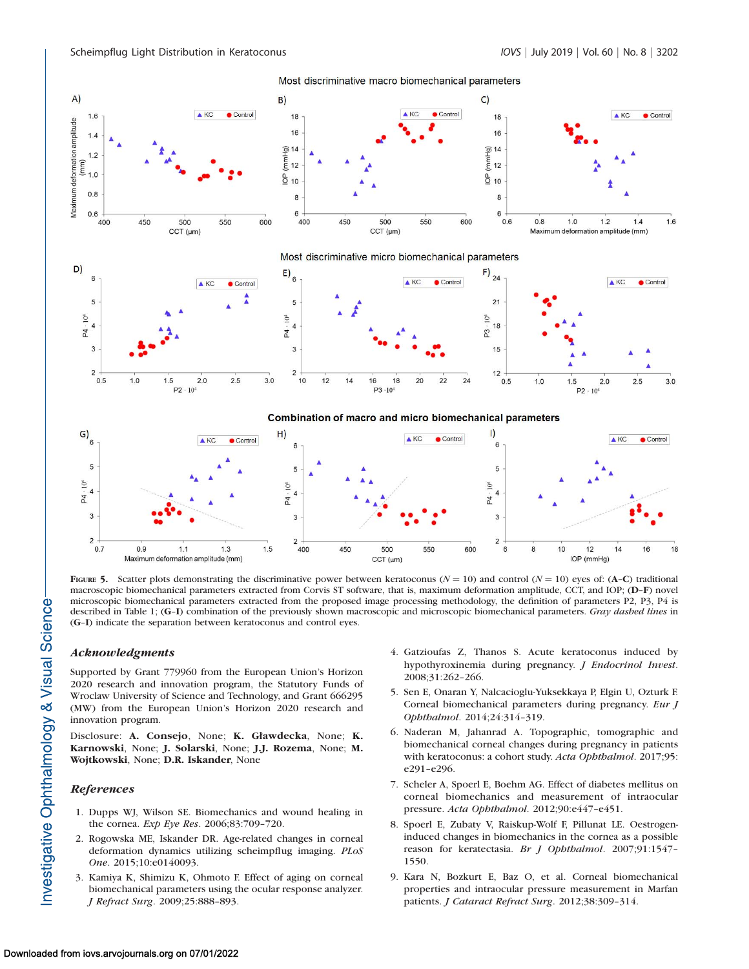

FIGURE 5. Scatter plots demonstrating the discriminative power between keratoconus ( $N = 10$ ) and control ( $N = 10$ ) eyes of: (A–C) traditional macroscopic biomechanical parameters extracted from Corvis ST software, that is, maximum deformation amplitude, CCT, and IOP; (D–F) novel microscopic biomechanical parameters extracted from the proposed image processing methodology, the definition of parameters P2, P3, P4 is described in Table 1; (G–I) combination of the previously shown macroscopic and microscopic biomechanical parameters. Gray dashed lines in (G–I) indicate the separation between keratoconus and control eyes.

# Acknowledgments

Supported by Grant 779960 from the European Union's Horizon 2020 research and innovation program, the Statutory Funds of Wroclaw University of Science and Technology, and Grant 666295 (MW) from the European Union's Horizon 2020 research and innovation program.

Disclosure: A. Consejo, None; K. Gławdecka, None; K. Karnowski, None; J. Solarski, None; J.J. Rozema, None; M. Wojtkowski, None; D.R. Iskander, None

# References

- 1. Dupps WJ, Wilson SE. Biomechanics and wound healing in the cornea. Exp Eye Res. 2006;83:709–720.
- 2. Rogowska ME, Iskander DR. Age-related changes in corneal deformation dynamics utilizing scheimpflug imaging. PLoS One. 2015;10:e0140093.
- 3. Kamiya K, Shimizu K, Ohmoto F. Effect of aging on corneal biomechanical parameters using the ocular response analyzer. J Refract Surg. 2009;25:888–893.
- 4. Gatzioufas Z, Thanos S. Acute keratoconus induced by hypothyroxinemia during pregnancy. J Endocrinol Invest. 2008;31:262–266.
- 5. Sen E, Onaran Y, Nalcacioglu-Yuksekkaya P, Elgin U, Ozturk F. Corneal biomechanical parameters during pregnancy. Eur J Ophthalmol. 2014;24:314–319.
- 6. Naderan M, Jahanrad A. Topographic, tomographic and biomechanical corneal changes during pregnancy in patients with keratoconus: a cohort study. Acta Ophthalmol. 2017;95: e291–e296.
- 7. Scheler A, Spoerl E, Boehm AG. Effect of diabetes mellitus on corneal biomechanics and measurement of intraocular pressure. Acta Ophthalmol. 2012;90:e447–e451.
- 8. Spoerl E, Zubaty V, Raiskup-Wolf F, Pillunat LE. Oestrogeninduced changes in biomechanics in the cornea as a possible reason for keratectasia. Br J Ophthalmol. 2007;91:1547– 1550.
- 9. Kara N, Bozkurt E, Baz O, et al. Corneal biomechanical properties and intraocular pressure measurement in Marfan patients. J Cataract Refract Surg. 2012;38:309–314.